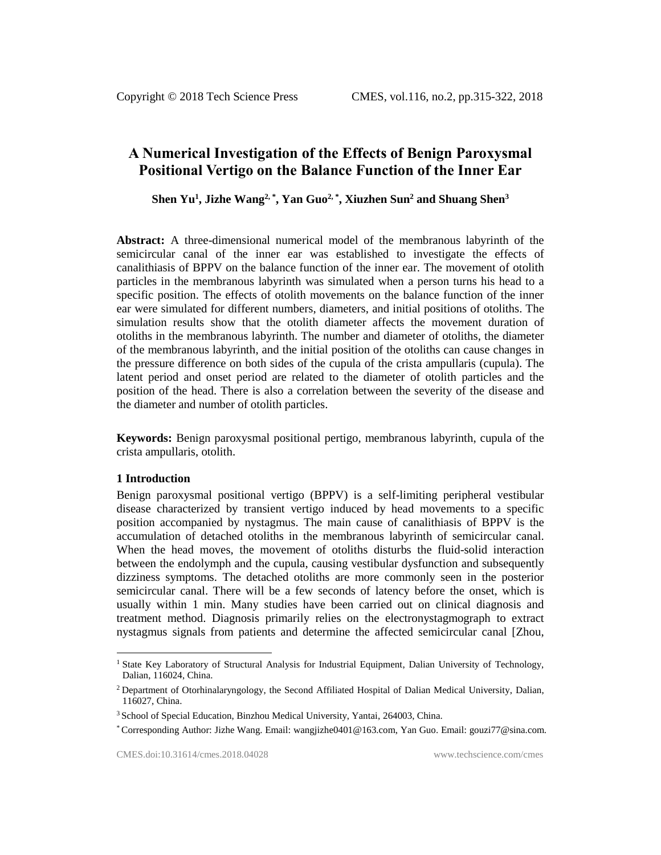# **A Numerical Investigation of the Effects of Benign Paroxysmal Positional Vertigo on the Balance Function of the Inner Ear**

**Shen Yu<sup>1</sup> , Jizhe Wang2, \* , Yan Guo2, \* , Xiuzhen Sun<sup>2</sup> and Shuang Shen<sup>3</sup>**

**Abstract:** A three-dimensional numerical model of the membranous labyrinth of the semicircular canal of the inner ear was established to investigate the effects of canalithiasis of BPPV on the balance function of the inner ear. The movement of otolith particles in the membranous labyrinth was simulated when a person turns his head to a specific position. The effects of otolith movements on the balance function of the inner ear were simulated for different numbers, diameters, and initial positions of otoliths. The simulation results show that the otolith diameter affects the movement duration of otoliths in the membranous labyrinth. The number and diameter of otoliths, the diameter of the membranous labyrinth, and the initial position of the otoliths can cause changes in the pressure difference on both sides of the cupula of the crista ampullaris (cupula). The latent period and onset period are related to the diameter of otolith particles and the position of the head. There is also a correlation between the severity of the disease and the diameter and number of otolith particles.

**Keywords:** Benign paroxysmal positional pertigo, membranous labyrinth, cupula of the crista ampullaris, otolith.

## **1 Introduction**

l

Benign paroxysmal positional vertigo (BPPV) is a self-limiting peripheral vestibular disease characterized by transient vertigo induced by head movements to a specific position accompanied by nystagmus. The main cause of canalithiasis of BPPV is the accumulation of detached otoliths in the membranous labyrinth of semicircular canal. When the head moves, the movement of otoliths disturbs the fluid-solid interaction between the endolymph and the cupula, causing vestibular dysfunction and subsequently dizziness symptoms. The detached otoliths are more commonly seen in the posterior semicircular canal. There will be a few seconds of latency before the onset, which is usually within 1 min. Many studies have been carried out on clinical diagnosis and treatment method. Diagnosis primarily relies on the electronystagmograph to extract nystagmus signals from patients and determine the affected semicircular canal [Zhou,

<sup>&</sup>lt;sup>1</sup> State Key Laboratory of Structural Analysis for Industrial Equipment, Dalian University of Technology, Dalian, 116024, China.

<sup>&</sup>lt;sup>2</sup> Department of Otorhinalaryngology, the Second Affiliated Hospital of Dalian Medical University, Dalian, 116027, China.

<sup>3</sup> School of Special Education, Binzhou Medical University, Yantai, 264003, China.

<sup>\*</sup> Corresponding Author: Jizhe Wang. Email: wangjizhe0401@163.com, Yan Guo. Email: gouzi77@sina.com.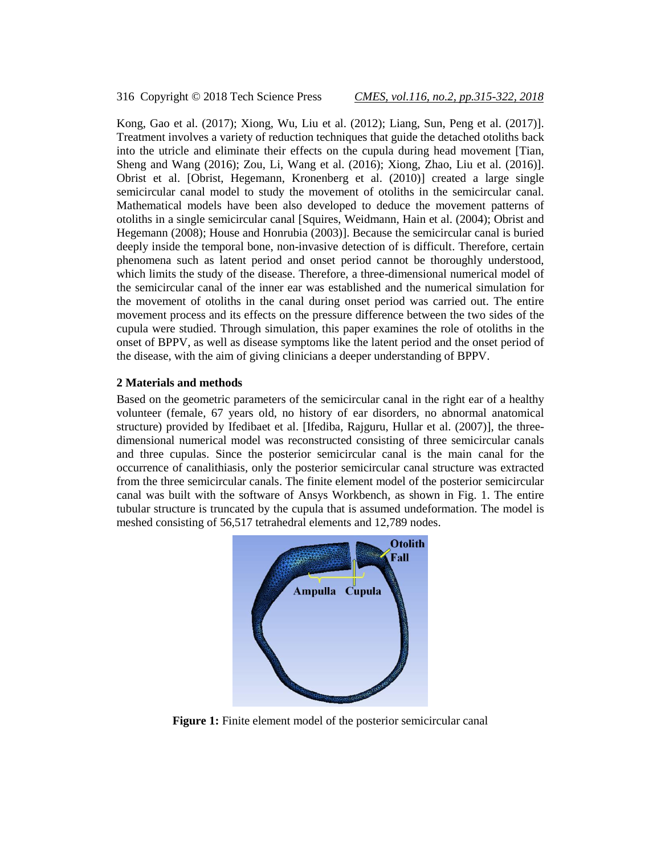316 Copyright © 2018 Tech Science Press *CMES, vol.116, no.2, pp.315-322, 2018*

Kong, Gao et al. (2017); Xiong, Wu, Liu et al. (2012); Liang, Sun, Peng et al. (2017)]. Treatment involves a variety of reduction techniques that guide the detached otoliths back into the utricle and eliminate their effects on the cupula during head movement [Tian, Sheng and Wang (2016); Zou, Li, Wang et al. (2016); Xiong, Zhao, Liu et al. (2016)]. Obrist et al. [Obrist, Hegemann, Kronenberg et al. (2010)] created a large single semicircular canal model to study the movement of otoliths in the semicircular canal. Mathematical models have been also developed to deduce the movement patterns of otoliths in a single semicircular canal [Squires, Weidmann, Hain et al. (2004); Obrist and Hegemann (2008); House and Honrubia (2003)]. Because the semicircular canal is buried deeply inside the temporal bone, non-invasive detection of is difficult. Therefore, certain phenomena such as latent period and onset period cannot be thoroughly understood, which limits the study of the disease. Therefore, a three-dimensional numerical model of the semicircular canal of the inner ear was established and the numerical simulation for the movement of otoliths in the canal during onset period was carried out. The entire movement process and its effects on the pressure difference between the two sides of the cupula were studied. Through simulation, this paper examines the role of otoliths in the onset of BPPV, as well as disease symptoms like the latent period and the onset period of the disease, with the aim of giving clinicians a deeper understanding of BPPV.

### **2 Materials and methods**

Based on the geometric parameters of the semicircular canal in the right ear of a healthy volunteer (female, 67 years old, no history of ear disorders, no abnormal anatomical structure) provided by Ifedibaet et al. [Ifediba, Rajguru, Hullar et al. (2007)], the threedimensional numerical model was reconstructed consisting of three semicircular canals and three cupulas. Since the posterior semicircular canal is the main canal for the occurrence of canalithiasis, only the posterior semicircular canal structure was extracted from the three semicircular canals. The finite element model of the posterior semicircular canal was built with the software of Ansys Workbench, as shown in Fig. 1. The entire tubular structure is truncated by the cupula that is assumed undeformation. The model is meshed consisting of 56,517 tetrahedral elements and 12,789 nodes.



**Figure 1:** Finite element model of the posterior semicircular canal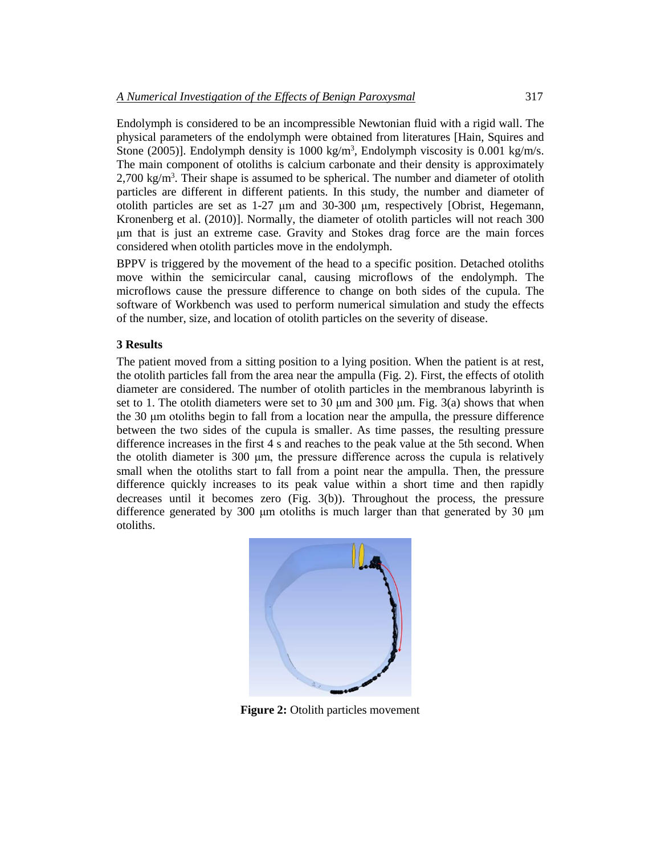Endolymph is considered to be an incompressible Newtonian fluid with a rigid wall. The physical parameters of the endolymph were obtained from literatures [Hain, Squires and Stone (2005)]. Endolymph density is  $1000 \text{ kg/m}^3$ , Endolymph viscosity is 0.001 kg/m/s. The main component of otoliths is calcium carbonate and their density is approximately 2,700 kg/m<sup>3</sup>. Their shape is assumed to be spherical. The number and diameter of otolith particles are different in different patients. In this study, the number and diameter of otolith particles are set as 1-27 μm and 30-300 μm, respectively [Obrist, Hegemann, Kronenberg et al. (2010)]. Normally, the diameter of otolith particles will not reach 300 μm that is just an extreme case. Gravity and Stokes drag force are the main forces considered when otolith particles move in the endolymph.

BPPV is triggered by the movement of the head to a specific position. Detached otoliths move within the semicircular canal, causing microflows of the endolymph. The microflows cause the pressure difference to change on both sides of the cupula. The software of Workbench was used to perform numerical simulation and study the effects of the number, size, and location of otolith particles on the severity of disease.

#### **3 Results**

The patient moved from a sitting position to a lying position. When the patient is at rest, the otolith particles fall from the area near the ampulla (Fig. 2). First, the effects of otolith diameter are considered. The number of otolith particles in the membranous labyrinth is set to 1. The otolith diameters were set to 30  $\mu$ m and 300  $\mu$ m. Fig. 3(a) shows that when the 30 μm otoliths begin to fall from a location near the ampulla, the pressure difference between the two sides of the cupula is smaller. As time passes, the resulting pressure difference increases in the first 4 s and reaches to the peak value at the 5th second. When the otolith diameter is 300 μm, the pressure difference across the cupula is relatively small when the otoliths start to fall from a point near the ampulla. Then, the pressure difference quickly increases to its peak value within a short time and then rapidly decreases until it becomes zero (Fig. 3(b)). Throughout the process, the pressure difference generated by 300 μm otoliths is much larger than that generated by 30 μm otoliths.



**Figure 2:** Otolith particles movement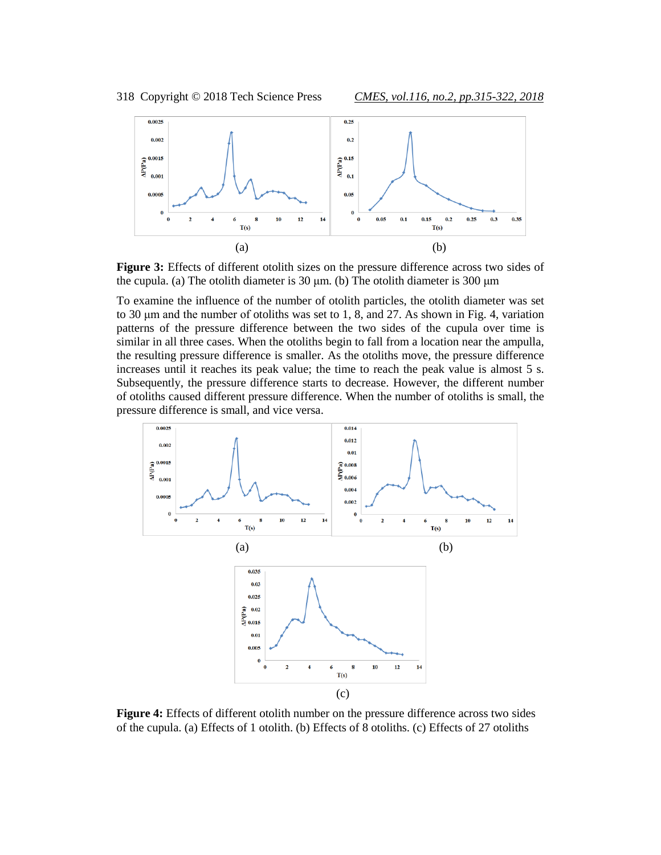

**Figure 3:** Effects of different otolith sizes on the pressure difference across two sides of the cupula. (a) The otolith diameter is 30 μm. (b) The otolith diameter is 300 μm

To examine the influence of the number of otolith particles, the otolith diameter was set to 30 μm and the number of otoliths was set to 1, 8, and 27. As shown in Fig. 4, variation patterns of the pressure difference between the two sides of the cupula over time is similar in all three cases. When the otoliths begin to fall from a location near the ampulla, the resulting pressure difference is smaller. As the otoliths move, the pressure difference increases until it reaches its peak value; the time to reach the peak value is almost 5 s. Subsequently, the pressure difference starts to decrease. However, the different number of otoliths caused different pressure difference. When the number of otoliths is small, the pressure difference is small, and vice versa.



**Figure 4:** Effects of different otolith number on the pressure difference across two sides of the cupula. (a) Effects of 1 otolith. (b) Effects of 8 otoliths. (c) Effects of 27 otoliths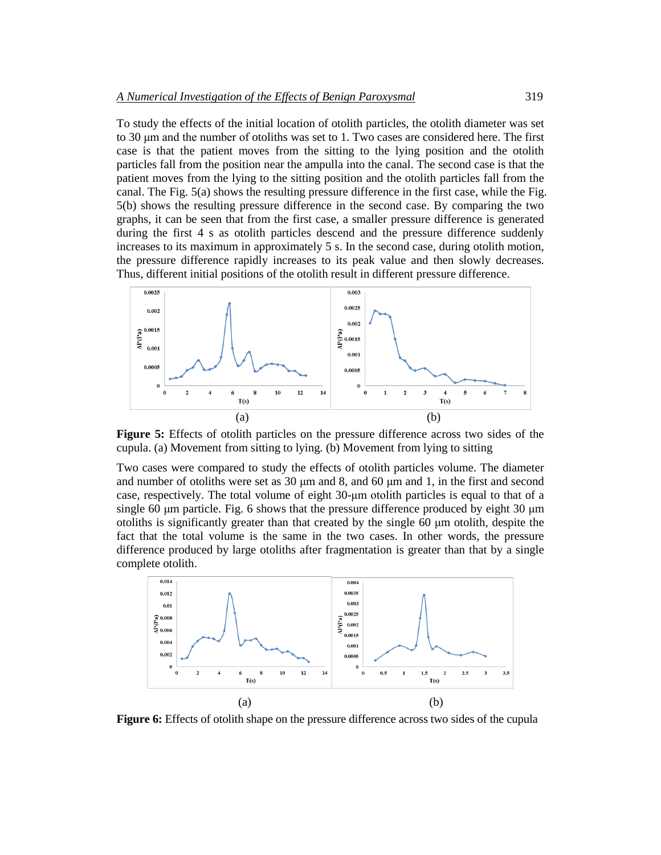To study the effects of the initial location of otolith particles, the otolith diameter was set to 30 μm and the number of otoliths was set to 1. Two cases are considered here. The first case is that the patient moves from the sitting to the lying position and the otolith particles fall from the position near the ampulla into the canal. The second case is that the patient moves from the lying to the sitting position and the otolith particles fall from the canal. The Fig. 5(a) shows the resulting pressure difference in the first case, while the Fig. 5(b) shows the resulting pressure difference in the second case. By comparing the two graphs, it can be seen that from the first case, a smaller pressure difference is generated during the first 4 s as otolith particles descend and the pressure difference suddenly increases to its maximum in approximately 5 s. In the second case, during otolith motion, the pressure difference rapidly increases to its peak value and then slowly decreases. Thus, different initial positions of the otolith result in different pressure difference.



**Figure 5:** Effects of otolith particles on the pressure difference across two sides of the cupula. (a) Movement from sitting to lying. (b) Movement from lying to sitting

Two cases were compared to study the effects of otolith particles volume. The diameter and number of otoliths were set as 30 μm and 8, and 60 μm and 1, in the first and second case, respectively. The total volume of eight 30-μm otolith particles is equal to that of a single 60 μm particle. Fig. 6 shows that the pressure difference produced by eight 30 μm otoliths is significantly greater than that created by the single 60 μm otolith, despite the fact that the total volume is the same in the two cases. In other words, the pressure difference produced by large otoliths after fragmentation is greater than that by a single complete otolith.



**Figure 6:** Effects of otolith shape on the pressure difference across two sides of the cupula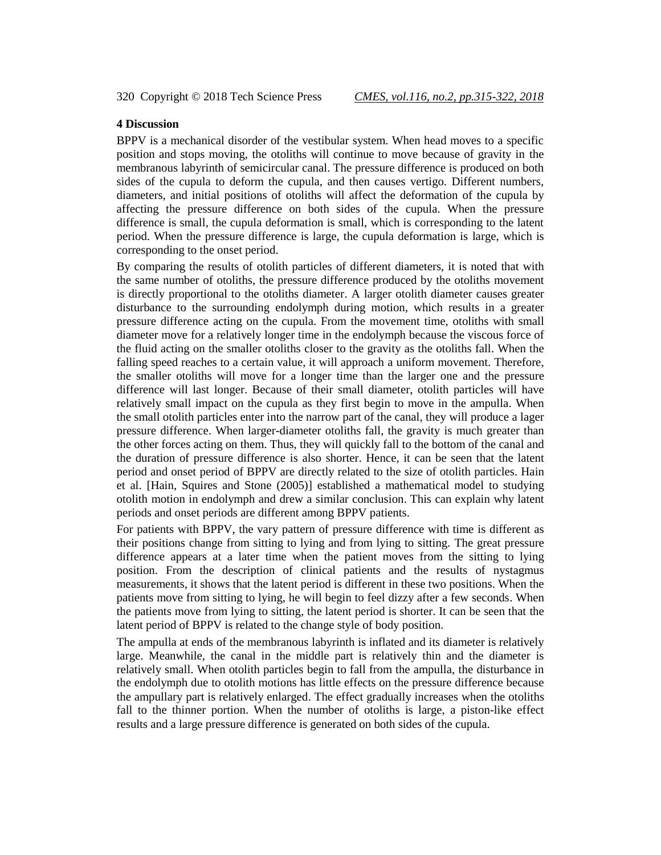## **4 Discussion**

BPPV is a mechanical disorder of the vestibular system. When head moves to a specific position and stops moving, the otoliths will continue to move because of gravity in the membranous labyrinth of semicircular canal. The pressure difference is produced on both sides of the cupula to deform the cupula, and then causes vertigo. Different numbers, diameters, and initial positions of otoliths will affect the deformation of the cupula by affecting the pressure difference on both sides of the cupula. When the pressure difference is small, the cupula deformation is small, which is corresponding to the latent period. When the pressure difference is large, the cupula deformation is large, which is corresponding to the onset period.

By comparing the results of otolith particles of different diameters, it is noted that with the same number of otoliths, the pressure difference produced by the otoliths movement is directly proportional to the otoliths diameter. A larger otolith diameter causes greater disturbance to the surrounding endolymph during motion, which results in a greater pressure difference acting on the cupula. From the movement time, otoliths with small diameter move for a relatively longer time in the endolymph because the viscous force of the fluid acting on the smaller otoliths closer to the gravity as the otoliths fall. When the falling speed reaches to a certain value, it will approach a uniform movement. Therefore, the smaller otoliths will move for a longer time than the larger one and the pressure difference will last longer. Because of their small diameter, otolith particles will have relatively small impact on the cupula as they first begin to move in the ampulla. When the small otolith particles enter into the narrow part of the canal, they will produce a lager pressure difference. When larger-diameter otoliths fall, the gravity is much greater than the other forces acting on them. Thus, they will quickly fall to the bottom of the canal and the duration of pressure difference is also shorter. Hence, it can be seen that the latent period and onset period of BPPV are directly related to the size of otolith particles. Hain et al. [Hain, Squires and Stone (2005)] established a mathematical model to studying otolith motion in endolymph and drew a similar conclusion. This can explain why latent periods and onset periods are different among BPPV patients.

For patients with BPPV, the vary pattern of pressure difference with time is different as their positions change from sitting to lying and from lying to sitting. The great pressure difference appears at a later time when the patient moves from the sitting to lying position. From the description of clinical patients and the results of nystagmus measurements, it shows that the latent period is different in these two positions. When the patients move from sitting to lying, he will begin to feel dizzy after a few seconds. When the patients move from lying to sitting, the latent period is shorter. It can be seen that the latent period of BPPV is related to the change style of body position.

The ampulla at ends of the membranous labyrinth is inflated and its diameter is relatively large. Meanwhile, the canal in the middle part is relatively thin and the diameter is relatively small. When otolith particles begin to fall from the ampulla, the disturbance in the endolymph due to otolith motions has little effects on the pressure difference because the ampullary part is relatively enlarged. The effect gradually increases when the otoliths fall to the thinner portion. When the number of otoliths is large, a piston-like effect results and a large pressure difference is generated on both sides of the cupula.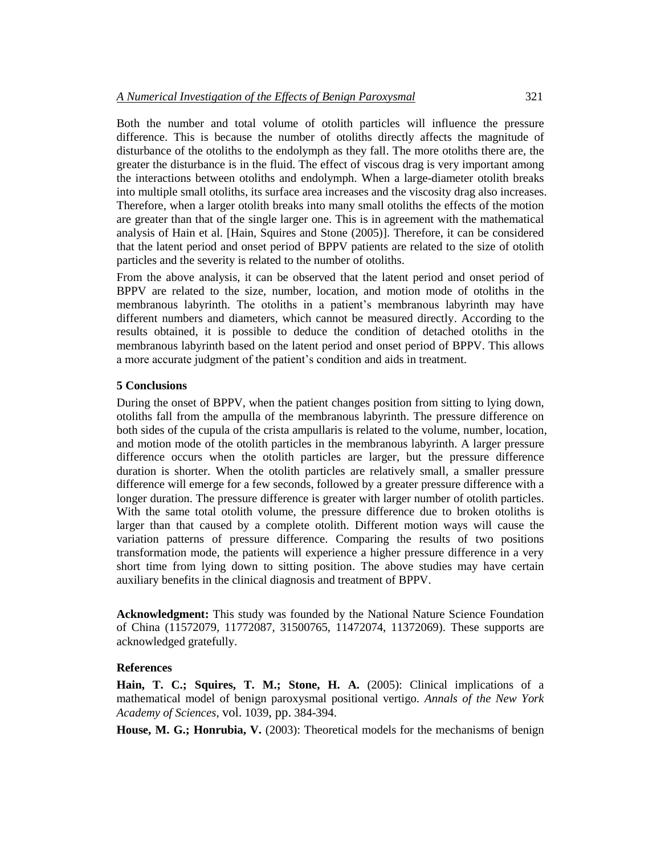Both the number and total volume of otolith particles will influence the pressure difference. This is because the number of otoliths directly affects the magnitude of disturbance of the otoliths to the endolymph as they fall. The more otoliths there are, the greater the disturbance is in the fluid. The effect of viscous drag is very important among the interactions between otoliths and endolymph. When a large-diameter otolith breaks into multiple small otoliths, its surface area increases and the viscosity drag also increases. Therefore, when a larger otolith breaks into many small otoliths the effects of the motion are greater than that of the single larger one. This is in agreement with the mathematical analysis of Hain et al. [Hain, Squires and Stone (2005)]. Therefore, it can be considered that the latent period and onset period of BPPV patients are related to the size of otolith particles and the severity is related to the number of otoliths.

From the above analysis, it can be observed that the latent period and onset period of BPPV are related to the size, number, location, and motion mode of otoliths in the membranous labyrinth. The otoliths in a patient's membranous labyrinth may have different numbers and diameters, which cannot be measured directly. According to the results obtained, it is possible to deduce the condition of detached otoliths in the membranous labyrinth based on the latent period and onset period of BPPV. This allows a more accurate judgment of the patient's condition and aids in treatment.

## **5 Conclusions**

During the onset of BPPV, when the patient changes position from sitting to lying down, otoliths fall from the ampulla of the membranous labyrinth. The pressure difference on both sides of the cupula of the crista ampullaris is related to the volume, number, location, and motion mode of the otolith particles in the membranous labyrinth. A larger pressure difference occurs when the otolith particles are larger, but the pressure difference duration is shorter. When the otolith particles are relatively small, a smaller pressure difference will emerge for a few seconds, followed by a greater pressure difference with a longer duration. The pressure difference is greater with larger number of otolith particles. With the same total otolith volume, the pressure difference due to broken otoliths is larger than that caused by a complete otolith. Different motion ways will cause the variation patterns of pressure difference. Comparing the results of two positions transformation mode, the patients will experience a higher pressure difference in a very short time from lying down to sitting position. The above studies may have certain auxiliary benefits in the clinical diagnosis and treatment of BPPV.

**Acknowledgment:** This study was founded by the National Nature Science Foundation of China (11572079, 11772087, 31500765, 11472074, 11372069). These supports are acknowledged gratefully.

## **References**

**Hain, T. C.; Squires, T. M.; Stone, H. A.** (2005): Clinical implications of a mathematical model of benign paroxysmal positional vertigo. *Annals of the New York Academy of Sciences*, vol. 1039, pp. 384-394.

**House, M. G.; Honrubia, V.** (2003): Theoretical models for the mechanisms of benign